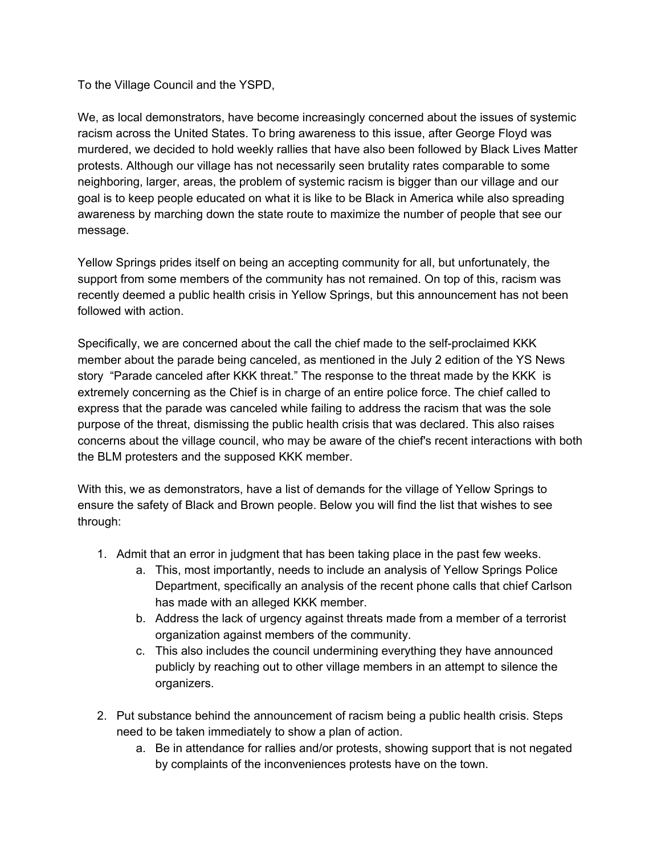To the Village Council and the YSPD,

We, as local demonstrators, have become increasingly concerned about the issues of systemic racism across the United States. To bring awareness to this issue, after George Floyd was murdered, we decided to hold weekly rallies that have also been followed by Black Lives Matter protests. Although our village has not necessarily seen brutality rates comparable to some neighboring, larger, areas, the problem of systemic racism is bigger than our village and our goal is to keep people educated on what it is like to be Black in America while also spreading awareness by marching down the state route to maximize the number of people that see our message.

Yellow Springs prides itself on being an accepting community for all, but unfortunately, the support from some members of the community has not remained. On top of this, racism was recently deemed a public health crisis in Yellow Springs, but this announcement has not been followed with action.

Specifically, we are concerned about the call the chief made to the self-proclaimed KKK member about the parade being canceled, as mentioned in the July 2 edition of the YS News story "Parade canceled after KKK threat." The response to the threat made by the KKK is extremely concerning as the Chief is in charge of an entire police force. The chief called to express that the parade was canceled while failing to address the racism that was the sole purpose of the threat, dismissing the public health crisis that was declared. This also raises concerns about the village council, who may be aware of the chief's recent interactions with both the BLM protesters and the supposed KKK member.

With this, we as demonstrators, have a list of demands for the village of Yellow Springs to ensure the safety of Black and Brown people. Below you will find the list that wishes to see through:

- 1. Admit that an error in judgment that has been taking place in the past few weeks.
	- a. This, most importantly, needs to include an analysis of Yellow Springs Police Department, specifically an analysis of the recent phone calls that chief Carlson has made with an alleged KKK member.
	- b. Address the lack of urgency against threats made from a member of a terrorist organization against members of the community.
	- c. This also includes the council undermining everything they have announced publicly by reaching out to other village members in an attempt to silence the organizers.
- 2. Put substance behind the announcement of racism being a public health crisis. Steps need to be taken immediately to show a plan of action.
	- a. Be in attendance for rallies and/or protests, showing support that is not negated by complaints of the inconveniences protests have on the town.